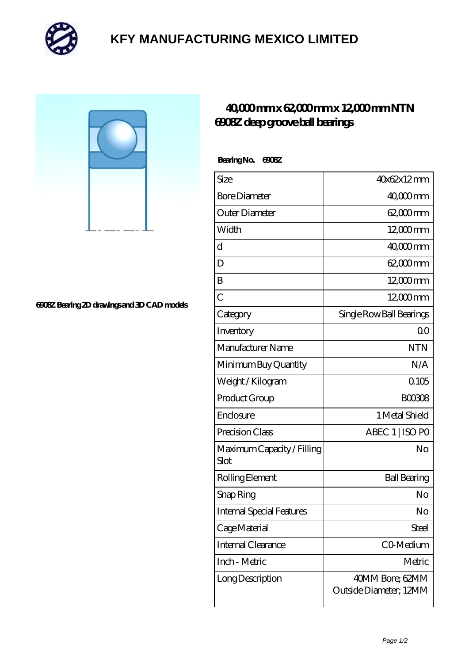

## **[KFY MANUFACTURING MEXICO LIMITED](https://mailemotion.tv)**

**[6908Z Bearing 2D drawings and 3D CAD models](https://mailemotion.tv/pic-412925.html)**

## **[40,000 mm x 62,000 mm x 12,000 mm NTN](https://mailemotion.tv/ar-412925-ntn-6908z-deep-groove-ball-bearings.html) [6908Z deep groove ball bearings](https://mailemotion.tv/ar-412925-ntn-6908z-deep-groove-ball-bearings.html)**

 **Bearing No. 6908Z**

| Size                               | 40x62x12mm                                |
|------------------------------------|-------------------------------------------|
| <b>Bore Diameter</b>               | 40,000mm                                  |
| Outer Diameter                     | 62,000 mm                                 |
| Width                              | 12,000mm                                  |
| $\mathbf d$                        | $4000$ mm                                 |
| D                                  | 62,000 mm                                 |
| B                                  | 12,000mm                                  |
| $\overline{C}$                     | $12000$ <sub>mm</sub>                     |
| Category                           | Single Row Ball Bearings                  |
| Inventory                          | 0 <sup>0</sup>                            |
| Manufacturer Name                  | <b>NTN</b>                                |
| Minimum Buy Quantity               | N/A                                       |
| Weight /Kilogram                   | 0105                                      |
| Product Group                      | <b>BOO3O8</b>                             |
| Enclosure                          | 1 Metal Shield                            |
| Precision Class                    | ABEC 1   ISO PO                           |
| Maximum Capacity / Filling<br>Slot | No                                        |
| Rolling Element                    | <b>Ball Bearing</b>                       |
| Snap Ring                          | No                                        |
| <b>Internal Special Features</b>   | No                                        |
| Cage Material                      | Steel                                     |
| Internal Clearance                 | CO-Medium                                 |
| Inch - Metric                      | Metric                                    |
| Long Description                   | 40MM Bore; 62MM<br>Outside Diameter; 12MM |